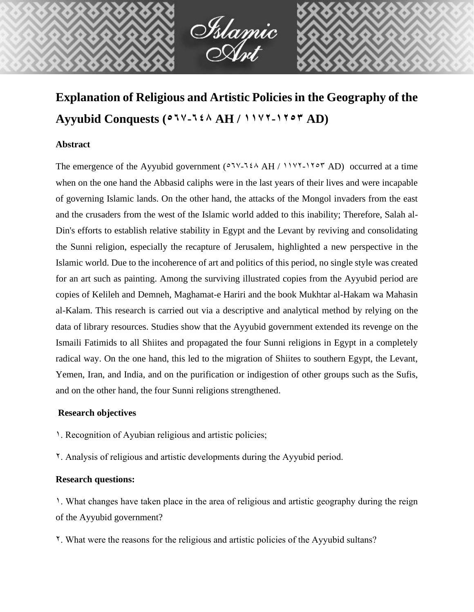

İslamic<br>Asıt

# **Abstract**

The emergence of the Ayyubid government  $(0.7 \times 7.64 \text{ A})$   $(1.1 \times 7.64 \text{ A})$  occurred at a time when on the one hand the Abbasid caliphs were in the last years of their lives and were incapable of governing Islamic lands. On the other hand, the attacks of the Mongol invaders from the east and the crusaders from the west of the Islamic world added to this inability; Therefore, Salah al-Din's efforts to establish relative stability in Egypt and the Levant by reviving and consolidating the Sunni religion, especially the recapture of Jerusalem, highlighted a new perspective in the Islamic world. Due to the incoherence of art and politics of this period, no single style was created for an art such as painting. Among the surviving illustrated copies from the Ayyubid period are copies of Kelileh and Demneh, Maghamat-e Hariri and the book Mukhtar al-Hakam wa Mahasin al-Kalam. This research is carried out via a descriptive and analytical method by relying on the data of library resources. Studies show that the Ayyubid government extended its revenge on the Ismaili Fatimids to all Shiites and propagated the four Sunni religions in Egypt in a completely radical way. On the one hand, this led to the migration of Shiites to southern Egypt, the Levant, Yemen, Iran, and India, and on the purification or indigestion of other groups such as the Sufis, and on the other hand, the four Sunni religions strengthened.

# **Research objectives**

- 1. Recognition of Ayubian religious and artistic policies;
- 2. Analysis of religious and artistic developments during the Ayyubid period.

### **Research questions:**

1. What changes have taken place in the area of religious and artistic geography during the reign of the Ayyubid government?

2. What were the reasons for the religious and artistic policies of the Ayyubid sultans?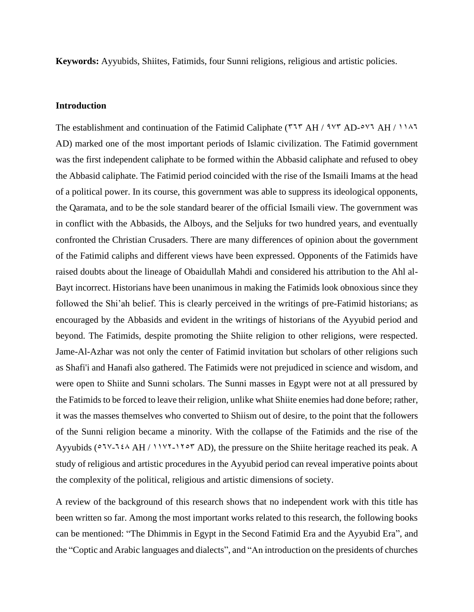**Keywords:** Ayyubids, Shiites, Fatimids, four Sunni religions, religious and artistic policies.

### **Introduction**

The establishment and continuation of the Fatimid Caliphate ( $777$  AH /  $947$  AD- $547$  AH /  $1147$ AD) marked one of the most important periods of Islamic civilization. The Fatimid government was the first independent caliphate to be formed within the Abbasid caliphate and refused to obey the Abbasid caliphate. The Fatimid period coincided with the rise of the Ismaili Imams at the head of a political power. In its course, this government was able to suppress its ideological opponents, the Qaramata, and to be the sole standard bearer of the official Ismaili view. The government was in conflict with the Abbasids, the Alboys, and the Seljuks for two hundred years, and eventually confronted the Christian Crusaders. There are many differences of opinion about the government of the Fatimid caliphs and different views have been expressed. Opponents of the Fatimids have raised doubts about the lineage of Obaidullah Mahdi and considered his attribution to the Ahl al-Bayt incorrect. Historians have been unanimous in making the Fatimids look obnoxious since they followed the Shi'ah belief. This is clearly perceived in the writings of pre-Fatimid historians; as encouraged by the Abbasids and evident in the writings of historians of the Ayyubid period and beyond. The Fatimids, despite promoting the Shiite religion to other religions, were respected. Jame-Al-Azhar was not only the center of Fatimid invitation but scholars of other religions such as Shafi'i and Hanafi also gathered. The Fatimids were not prejudiced in science and wisdom, and were open to Shiite and Sunni scholars. The Sunni masses in Egypt were not at all pressured by the Fatimids to be forced to leave their religion, unlike what Shiite enemies had done before; rather, it was the masses themselves who converted to Shiism out of desire, to the point that the followers of the Sunni religion became a minority. With the collapse of the Fatimids and the rise of the Ayyubids ( $0.77-124$  AH /  $1197-1707$  AD), the pressure on the Shiite heritage reached its peak. A study of religious and artistic procedures in the Ayyubid period can reveal imperative points about the complexity of the political, religious and artistic dimensions of society.

A review of the background of this research shows that no independent work with this title has been written so far. Among the most important works related to this research, the following books can be mentioned: "The Dhimmis in Egypt in the Second Fatimid Era and the Ayyubid Era", and the "Coptic and Arabic languages and dialects", and "An introduction on the presidents of churches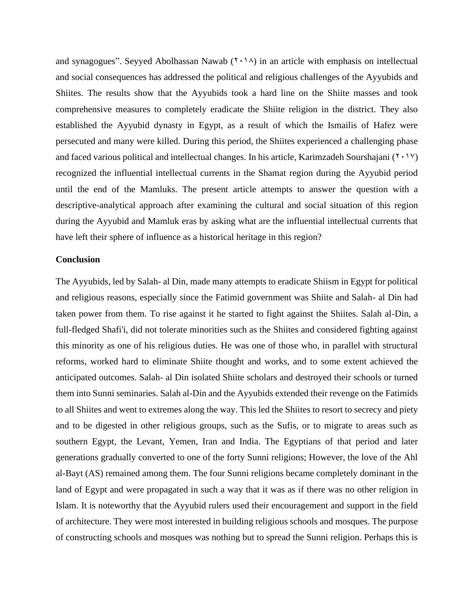and synagogues". Seyyed Abolhassan Nawab  $(1 \cdot 1)$  in an article with emphasis on intellectual and social consequences has addressed the political and religious challenges of the Ayyubids and Shiites. The results show that the Ayyubids took a hard line on the Shiite masses and took comprehensive measures to completely eradicate the Shiite religion in the district. They also established the Ayyubid dynasty in Egypt, as a result of which the Ismailis of Hafez were persecuted and many were killed. During this period, the Shiites experienced a challenging phase and faced various political and intellectual changes. In his article, Karimzadeh Sourshajani ( $\gamma \gamma$ ) recognized the influential intellectual currents in the Shamat region during the Ayyubid period until the end of the Mamluks. The present article attempts to answer the question with a descriptive-analytical approach after examining the cultural and social situation of this region during the Ayyubid and Mamluk eras by asking what are the influential intellectual currents that have left their sphere of influence as a historical heritage in this region?

#### **Conclusion**

The Ayyubids, led by Salah- al Din, made many attempts to eradicate Shiism in Egypt for political and religious reasons, especially since the Fatimid government was Shiite and Salah- al Din had taken power from them. To rise against it he started to fight against the Shiites. Salah al-Din, a full-fledged Shafi'i, did not tolerate minorities such as the Shiites and considered fighting against this minority as one of his religious duties. He was one of those who, in parallel with structural reforms, worked hard to eliminate Shiite thought and works, and to some extent achieved the anticipated outcomes. Salah- al Din isolated Shiite scholars and destroyed their schools or turned them into Sunni seminaries. Salah al-Din and the Ayyubids extended their revenge on the Fatimids to all Shiites and went to extremes along the way. This led the Shiites to resort to secrecy and piety and to be digested in other religious groups, such as the Sufis, or to migrate to areas such as southern Egypt, the Levant, Yemen, Iran and India. The Egyptians of that period and later generations gradually converted to one of the forty Sunni religions; However, the love of the Ahl al-Bayt (AS) remained among them. The four Sunni religions became completely dominant in the land of Egypt and were propagated in such a way that it was as if there was no other religion in Islam. It is noteworthy that the Ayyubid rulers used their encouragement and support in the field of architecture. They were most interested in building religious schools and mosques. The purpose of constructing schools and mosques was nothing but to spread the Sunni religion. Perhaps this is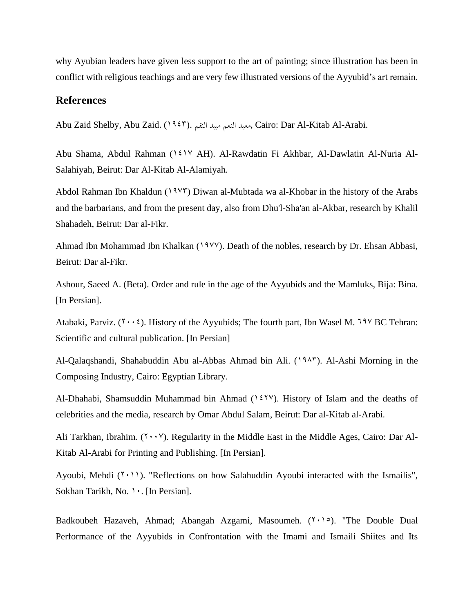why Ayubian leaders have given less support to the art of painting; since illustration has been in conflict with religious teachings and are very few illustrated versions of the Ayyubid's art remain.

# **References**

Abu Zaid Shelby, Abu Zaid. (1943). النقم مبید النعم معید, Cairo: Dar Al-Kitab Al-Arabi.

Abu Shama, Abdul Rahman (1417 AH). Al-Rawdatin Fi Akhbar, Al-Dawlatin Al-Nuria Al-Salahiyah, Beirut: Dar Al-Kitab Al-Alamiyah.

Abdol Rahman Ibn Khaldun ( $19\overline{y}$ ) Diwan al-Mubtada wa al-Khobar in the history of the Arabs and the barbarians, and from the present day, also from Dhu'l-Sha'an al-Akbar, research by Khalil Shahadeh, Beirut: Dar al-Fikr.

Ahmad Ibn Mohammad Ibn Khalkan (1977). Death of the nobles, research by Dr. Ehsan Abbasi, Beirut: Dar al-Fikr.

Ashour, Saeed A. (Beta). Order and rule in the age of the Ayyubids and the Mamluks, Bija: Bina. [In Persian].

Atabaki, Parviz. ( $\cdots$ ). History of the Ayyubids; The fourth part, Ibn Wasel M. 797 BC Tehran: Scientific and cultural publication. [In Persian]

Al-Qalaqshandi, Shahabuddin Abu al-Abbas Ahmad bin Ali. (1945). Al-Ashi Morning in the Composing Industry, Cairo: Egyptian Library.

Al-Dhahabi, Shamsuddin Muhammad bin Ahmad  $(1 \xi \gamma \gamma)$ . History of Islam and the deaths of celebrities and the media, research by Omar Abdul Salam, Beirut: Dar al-Kitab al-Arabi.

Ali Tarkhan, Ibrahim.  $(1 \cdot \cdot \cdot)'$ ). Regularity in the Middle East in the Middle Ages, Cairo: Dar Al-Kitab Al-Arabi for Printing and Publishing. [In Persian].

Ayoubi, Mehdi  $(1 \cdot 1)$ . "Reflections on how Salahuddin Ayoubi interacted with the Ismailis", Sokhan Tarikh, No. 1. [In Persian].

Badkoubeh Hazaveh, Ahmad; Abangah Azgami, Masoumeh.  $(\gamma, \gamma)$ . "The Double Dual Performance of the Ayyubids in Confrontation with the Imami and Ismaili Shiites and Its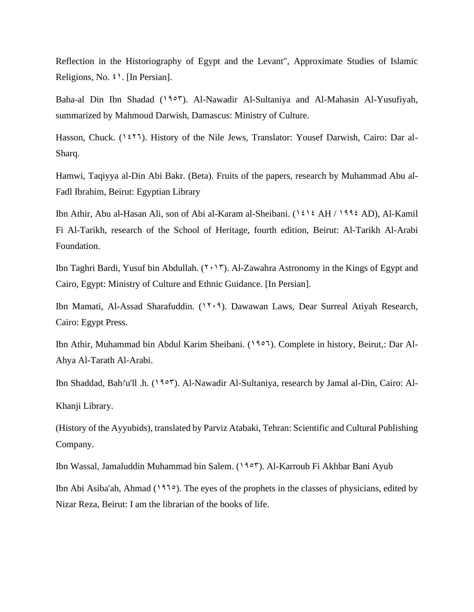Reflection in the Historiography of Egypt and the Levant", Approximate Studies of Islamic Religions, No.  $\mathfrak{t}$ . [In Persian].

Baha-al Din Ibn Shadad (1953). Al-Nawadir Al-Sultaniya and Al-Mahasin Al-Yusufiyah, summarized by Mahmoud Darwish, Damascus: Ministry of Culture.

Hasson, Chuck.  $(1 \xi \zeta)$ . History of the Nile Jews, Translator: Yousef Darwish, Cairo: Dar al-Sharq.

Hamwi, Taqiyya al-Din Abi Bakr. (Beta). Fruits of the papers, research by Muhammad Abu al-Fadl Ibrahim, Beirut: Egyptian Library

Ibn Athir, Abu al-Hasan Ali, son of Abi al-Karam al-Sheibani.  $(1 \xi) \xi$  AH / 1994 AD), Al-Kamil Fi Al-Tarikh, research of the School of Heritage, fourth edition, Beirut: Al-Tarikh Al-Arabi Foundation.

Ibn Taghri Bardi, Yusuf bin Abdullah.  $(7 \cdot 17)$ . Al-Zawahra Astronomy in the Kings of Egypt and Cairo, Egypt: Ministry of Culture and Ethnic Guidance. [In Persian].

Ibn Mamati, Al-Assad Sharafuddin. (1209). Dawawan Laws, Dear Surreal Atiyah Research, Cairo: Egypt Press.

Ibn Athir, Muhammad bin Abdul Karim Sheibani. (1956). Complete in history, Beirut,: Dar Al-Ahya Al-Tarath Al-Arabi.

Ibn Shaddad, Bahا'u'll .h. (1953). Al-Nawadir Al-Sultaniya, research by Jamal al-Din, Cairo: Al-Khanji Library.

(History of the Ayyubids), translated by Parviz Atabaki, Tehran: Scientific and Cultural Publishing Company.

Ibn Wassal, Jamaluddin Muhammad bin Salem. (1953). Al-Karroub Fi Akhbar Bani Ayub

Ibn Abi Asiba'ah, Ahmad (1965). The eyes of the prophets in the classes of physicians, edited by Nizar Reza, Beirut: I am the librarian of the books of life.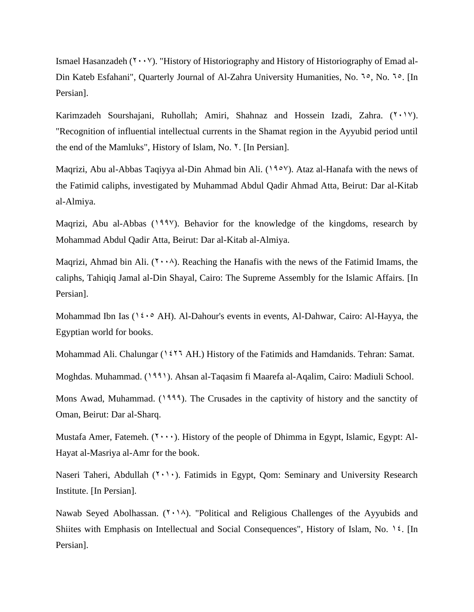Ismael Hasanzadeh ( $\gamma \cdot \gamma$ ). "History of Historiography and History of Historiography of Emad al-Din Kateb Esfahani", Quarterly Journal of Al-Zahra University Humanities, No. <sup>1</sup>°, No. <sup>1</sup>°. [In Persian].

Karimzadeh Sourshajani, Ruhollah; Amiri, Shahnaz and Hossein Izadi, Zahra.  $(2 \cdot 1 \cdot 1)$ . "Recognition of influential intellectual currents in the Shamat region in the Ayyubid period until the end of the Mamluks", History of Islam, No. <sup>7</sup>. [In Persian].

Maqrizi, Abu al-Abbas Taqiyya al-Din Ahmad bin Ali. (1908). Ataz al-Hanafa with the news of the Fatimid caliphs, investigated by Muhammad Abdul Qadir Ahmad Atta, Beirut: Dar al-Kitab al-Almiya.

Maqrizi, Abu al-Abbas (1998). Behavior for the knowledge of the kingdoms, research by Mohammad Abdul Qadir Atta, Beirut: Dar al-Kitab al-Almiya.

Maqrizi, Ahmad bin Ali.  $(1 \cdot \cdot \cdot)$ . Reaching the Hanafis with the news of the Fatimid Imams, the caliphs, Tahiqiq Jamal al-Din Shayal, Cairo: The Supreme Assembly for the Islamic Affairs. [In Persian].

Mohammad Ibn Ias ( $16.8$  AH). Al-Dahour's events in events, Al-Dahwar, Cairo: Al-Hayya, the Egyptian world for books.

Mohammad Ali. Chalungar (1537 AH.) History of the Fatimids and Hamdanids. Tehran: Samat.

Moghdas. Muhammad. (1991). Ahsan al-Taqasim fi Maarefa al-Aqalim, Cairo: Madiuli School.

Mons Awad, Muhammad. (1999). The Crusades in the captivity of history and the sanctity of Oman, Beirut: Dar al-Sharq.

Mustafa Amer, Fatemeh.  $(7 \cdots)$ . History of the people of Dhimma in Egypt, Islamic, Egypt: Al-Hayat al-Masriya al-Amr for the book.

Naseri Taheri, Abdullah  $(1 \cdot 1)$ . Fatimids in Egypt, Qom: Seminary and University Research Institute. [In Persian].

Nawab Seyed Abolhassan.  $(Y \cdot \wedge)$ . "Political and Religious Challenges of the Ayyubids and Shiites with Emphasis on Intellectual and Social Consequences", History of Islam, No. 14. [In Persian].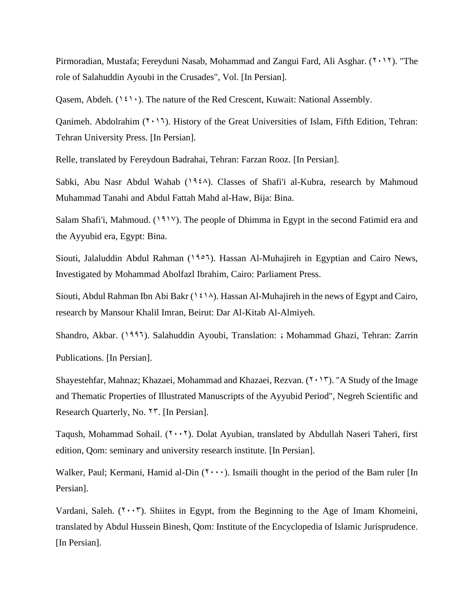Pirmoradian, Mustafa; Fereyduni Nasab, Mohammad and Zangui Fard, Ali Asghar.  $(2 \cdot 17)$ . "The role of Salahuddin Ayoubi in the Crusades", Vol. [In Persian].

Qasem, Abdeh.  $(1 \xi) \cdot$ ). The nature of the Red Crescent, Kuwait: National Assembly.

Qanimeh. Abdolrahim  $(7 \cdot 17)$ . History of the Great Universities of Islam, Fifth Edition, Tehran: Tehran University Press. [In Persian].

Relle, translated by Fereydoun Badrahai, Tehran: Farzan Rooz. [In Persian].

Sabki, Abu Nasr Abdul Wahab ( $196\lambda$ ). Classes of Shafi'i al-Kubra, research by Mahmoud Muhammad Tanahi and Abdul Fattah Mahd al-Haw, Bija: Bina.

Salam Shafi'i, Mahmoud. (1917). The people of Dhimma in Egypt in the second Fatimid era and the Ayyubid era, Egypt: Bina.

Siouti, Jalaluddin Abdul Rahman (1905). Hassan Al-Muhajireh in Egyptian and Cairo News, Investigated by Mohammad Abolfazl Ibrahim, Cairo: Parliament Press.

Siouti, Abdul Rahman Ibn Abi Bakr (1414). Hassan Al-Muhajireh in the news of Egypt and Cairo, research by Mansour Khalil Imran, Beirut: Dar Al-Kitab Al-Almiyeh.

Shandro, Akbar. (1996). Salahuddin Ayoubi, Translation: ۀ Mohammad Ghazi, Tehran: Zarrin Publications. [In Persian].

Shayestehfar, Mahnaz; Khazaei, Mohammad and Khazaei, Rezvan.  $(7 \cdot 17)$ . "A Study of the Image and Thematic Properties of Illustrated Manuscripts of the Ayyubid Period", Negreh Scientific and Research Quarterly, No. <sup>17</sup>. [In Persian].

Taqush, Mohammad Sohail.  $(Y \cdot Y)$ . Dolat Ayubian, translated by Abdullah Naseri Taheri, first edition, Qom: seminary and university research institute. [In Persian].

Walker, Paul; Kermani, Hamid al-Din  $(7 \cdots)$ . Ismaili thought in the period of the Bam ruler [In] Persian].

Vardani, Saleh.  $(7 \cdot \cdot 7)$ . Shiites in Egypt, from the Beginning to the Age of Imam Khomeini, translated by Abdul Hussein Binesh, Qom: Institute of the Encyclopedia of Islamic Jurisprudence. [In Persian].